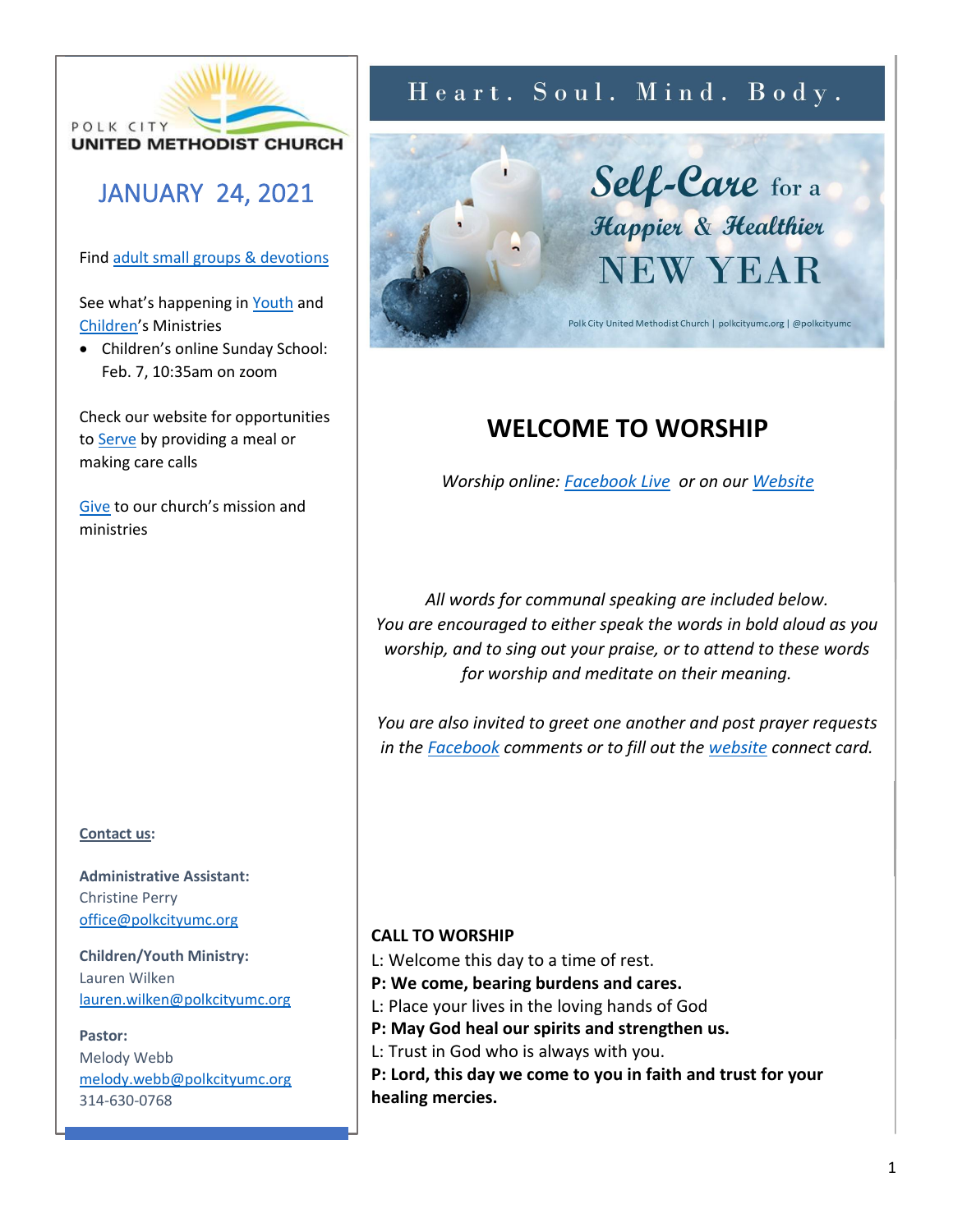

## JANUARY 24, 2021

## Fin[d adult small groups & devotions](http://www.polkcityumc.org/grow)

See what's happening in [Youth](http://www.polkcityumc.org/youth) and [Children](http://www.polkcityumc.org/children)'s Ministries

• Children's online Sunday School: Feb. 7, 10:35am on zoom

Check our website for opportunities to [Serve](http://www.polkcityumc.org/serve) by providing a meal or making care calls

[Give](http://www.polkcityumc.org/give) to our church's mission and ministries

## **Contact us:**

**Administrative Assistant:**  Christine Perry [office@polkcityumc.org](mailto:office@polkcityumc.org)

**Children/Youth Ministry:**  Lauren Wilken [lauren.wilken@polkcityumc.org](mailto:lauren.wilken@polkcityumc.org)

## **Pastor:**

Melody Webb [melody.webb@polkcityumc.org](mailto:melody.webb@polkcityumc.org) 314-630-0768

# Heart. Soul. Mind. Body.

Self-Care for a Happier & Healthier **NEW YEAR** 

Polk City United Methodist Church | polkcityumc.org | @polkcityumc

## **WELCOME TO WORSHIP**

*Worship online: [Facebook Live](http://www.facebook.com/polkcityumc) or on our [Website](http://www.polkcityumc.org/online-worship)*

*All words for communal speaking are included below. You are encouraged to either speak the words in bold aloud as you worship, and to sing out your praise, or to attend to these words for worship and meditate on their meaning.* 

*You are also invited to greet one another and post prayer requests in the [Facebook](https://www.facebook.com/polkcityumc/) comments or to fill out the [website](https://www.polkcityumc.org/online-worship) connect card.*

## **CALL TO WORSHIP**

- L: Welcome this day to a time of rest.
- **P: We come, bearing burdens and cares.**
- L: Place your lives in the loving hands of God
- **P: May God heal our spirits and strengthen us.**
- L: Trust in God who is always with you.
- **P: Lord, this day we come to you in faith and trust for your healing mercies.**